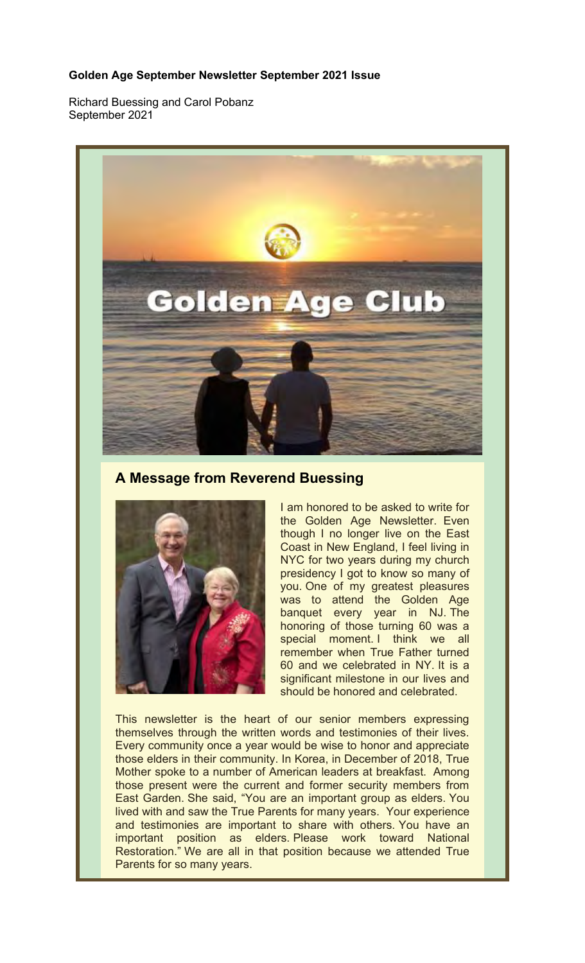#### **Golden Age September Newsletter September 2021 Issue**

Richard Buessing and Carol Pobanz September 2021



**A Message from Reverend Buessing**



I am honored to be asked to write for the Golden Age Newsletter. Even though I no longer live on the East Coast in New England, I feel living in NYC for two years during my church presidency I got to know so many of you. One of my greatest pleasures was to attend the Golden Age banquet every year in NJ. The honoring of those turning 60 was a special moment. I think we all remember when True Father turned 60 and we celebrated in NY. It is a significant milestone in our lives and should be honored and celebrated.

This newsletter is the heart of our senior members expressing themselves through the written words and testimonies of their lives. Every community once a year would be wise to honor and appreciate those elders in their community. In Korea, in December of 2018, True Mother spoke to a number of American leaders at breakfast. Among those present were the current and former security members from East Garden. She said, "You are an important group as elders. You lived with and saw the True Parents for many years. Your experience and testimonies are important to share with others. You have an important position as elders. Please work toward National Restoration." We are all in that position because we attended True Parents for so many years.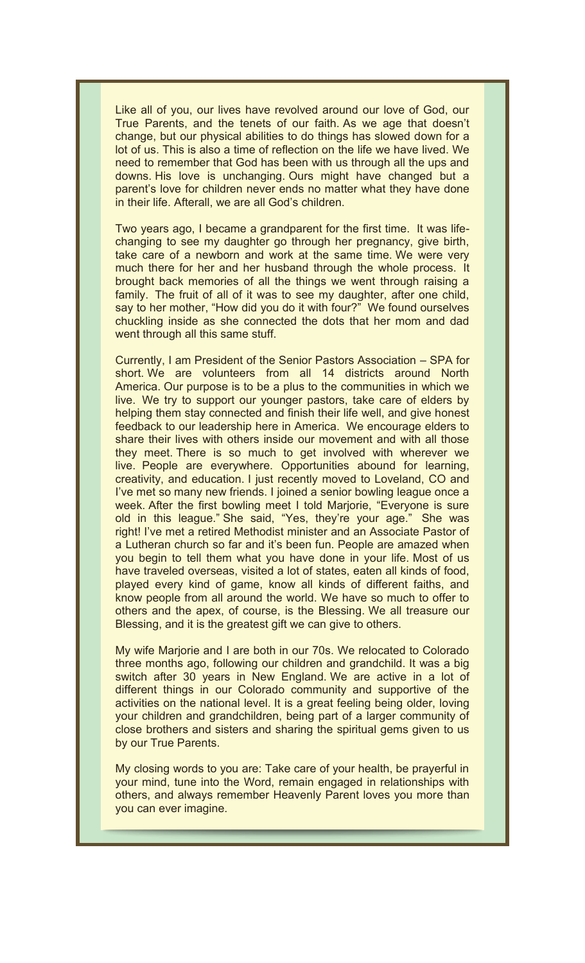Like all of you, our lives have revolved around our love of God, our True Parents, and the tenets of our faith. As we age that doesn't change, but our physical abilities to do things has slowed down for a lot of us. This is also a time of reflection on the life we have lived. We need to remember that God has been with us through all the ups and downs. His love is unchanging. Ours might have changed but a parent's love for children never ends no matter what they have done in their life. Afterall, we are all God's children.

Two years ago, I became a grandparent for the first time. It was lifechanging to see my daughter go through her pregnancy, give birth, take care of a newborn and work at the same time. We were very much there for her and her husband through the whole process. It brought back memories of all the things we went through raising a family. The fruit of all of it was to see my daughter, after one child, say to her mother, "How did you do it with four?" We found ourselves chuckling inside as she connected the dots that her mom and dad went through all this same stuff.

Currently, I am President of the Senior Pastors Association – SPA for short. We are volunteers from all 14 districts around North America. Our purpose is to be a plus to the communities in which we live. We try to support our younger pastors, take care of elders by helping them stay connected and finish their life well, and give honest feedback to our leadership here in America. We encourage elders to share their lives with others inside our movement and with all those they meet. There is so much to get involved with wherever we live. People are everywhere. Opportunities abound for learning, creativity, and education. I just recently moved to Loveland, CO and I've met so many new friends. I joined a senior bowling league once a week. After the first bowling meet I told Marjorie, "Everyone is sure old in this league." She said, "Yes, they're your age." She was right! I've met a retired Methodist minister and an Associate Pastor of a Lutheran church so far and it's been fun. People are amazed when you begin to tell them what you have done in your life. Most of us have traveled overseas, visited a lot of states, eaten all kinds of food, played every kind of game, know all kinds of different faiths, and know people from all around the world. We have so much to offer to others and the apex, of course, is the Blessing. We all treasure our Blessing, and it is the greatest gift we can give to others.

My wife Marjorie and I are both in our 70s. We relocated to Colorado three months ago, following our children and grandchild. It was a big switch after 30 years in New England. We are active in a lot of different things in our Colorado community and supportive of the activities on the national level. It is a great feeling being older, loving your children and grandchildren, being part of a larger community of close brothers and sisters and sharing the spiritual gems given to us by our True Parents.

My closing words to you are: Take care of your health, be prayerful in your mind, tune into the Word, remain engaged in relationships with others, and always remember Heavenly Parent loves you more than you can ever imagine.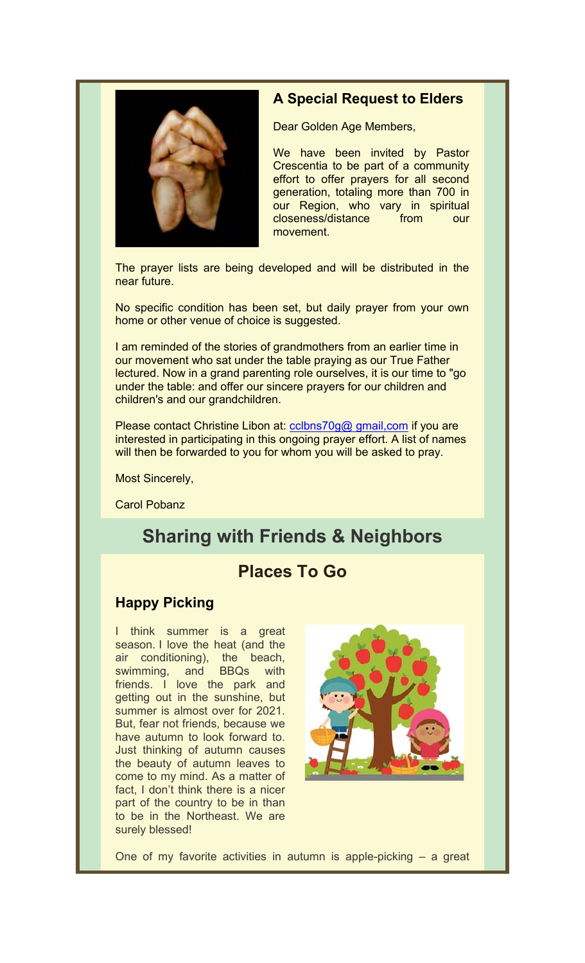

## **A Special Request to Elders**

Dear Golden Age Members,

We have been invited by Pastor Crescentia to be part of a community effort to offer prayers for all second generation, totaling more than 700 in our Region, who vary in spiritual closeness/distance from our movement.

The prayer lists are being developed and will be distributed in the near future.

No specific condition has been set, but daily prayer from your own home or other venue of choice is suggested.

I am reminded of the stories of grandmothers from an earlier time in our movement who sat under the table praying as our True Father lectured. Now in a grand parenting role ourselves, it is our time to "go under the table: and offer our sincere prayers for our children and children's and our grandchildren.

Please contact Christine Libon at: colbns70g@ gmail, com if you are interested in participating in this ongoing prayer effort. A list of names will then be forwarded to you for whom you will be asked to pray.

Most Sincerely,

Carol Pobanz

# **Sharing with Friends & Neighbors**

## **Places To Go**

## **Happy Picking**

I think summer is a great season. I love the heat (and the air conditioning), the beach, swimming, and BBQs with friends. I love the park and getting out in the sunshine, but summer is almost over for 2021. But, fear not friends, because we have autumn to look forward to. Just thinking of autumn causes the beauty of autumn leaves to come to my mind. As a matter of fact, I don't think there is a nicer part of the country to be in than to be in the Northeast. We are surely blessed!



One of my favorite activities in autumn is apple-picking – a great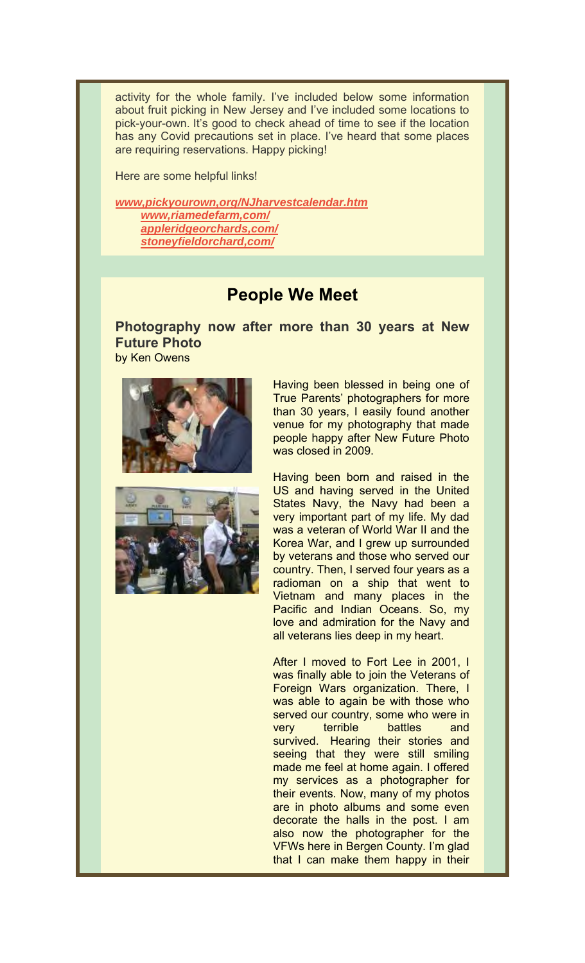activity for the whole family. I've included below some information about fruit picking in New Jersey and I've included some locations to pick-your-own. It's good to check ahead of time to see if the location has any Covid precautions set in place. I've heard that some places are requiring reservations. Happy picking!

Here are some helpful links!

*www,pickyourown,org/NJharvestcalendar.htm* *www,riamedefarm,com/* *appleridgeorchards,com/* *stoneyfieldorchard,com/*

## **People We Meet**

**Photography now after more than 30 years at New Future Photo**

by Ken Owens



Having been blessed in being one of True Parents' photographers for more than 30 years, I easily found another venue for my photography that made people happy after New Future Photo was closed in 2009.

Having been born and raised in the US and having served in the United States Navy, the Navy had been a very important part of my life. My dad was a veteran of World War II and the Korea War, and I grew up surrounded by veterans and those who served our country. Then, I served four years as a radioman on a ship that went to Vietnam and many places in the Pacific and Indian Oceans. So, my love and admiration for the Navy and all veterans lies deep in my heart.

After I moved to Fort Lee in 2001, I was finally able to join the Veterans of Foreign Wars organization. There, I was able to again be with those who served our country, some who were in very terrible battles and survived. Hearing their stories and seeing that they were still smiling made me feel at home again. I offered my services as a photographer for their events. Now, many of my photos are in photo albums and some even decorate the halls in the post. I am also now the photographer for the VFWs here in Bergen County. I'm glad that I can make them happy in their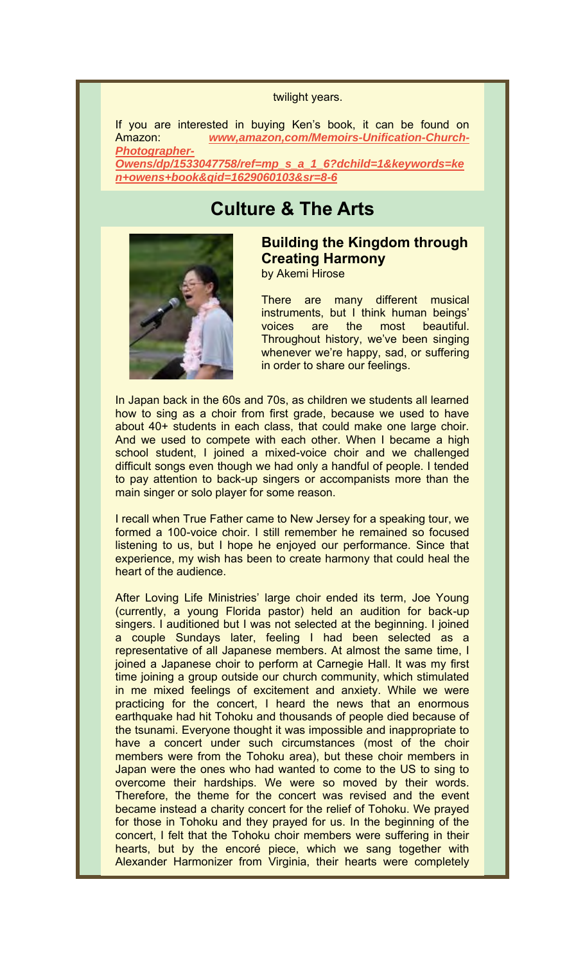#### twilight years.

If you are interested in buying Ken's book, it can be found on Amazon: *www,amazon,com/Memoirs-Unification-Church-Photographer-Owens/dp/1533047758/ref=mp\_s\_a\_1\_6?dchild=1&keywords=ke n+owens+book&qid=1629060103&sr=8-6*

## **Culture & The Arts**



### **Building the Kingdom through Creating Harmony** by Akemi Hirose

There are many different musical instruments, but I think human beings' voices are the most beautiful. Throughout history, we've been singing whenever we're happy, sad, or suffering in order to share our feelings.

In Japan back in the 60s and 70s, as children we students all learned how to sing as a choir from first grade, because we used to have about 40+ students in each class, that could make one large choir. And we used to compete with each other. When I became a high school student, I joined a mixed-voice choir and we challenged difficult songs even though we had only a handful of people. I tended to pay attention to back-up singers or accompanists more than the main singer or solo player for some reason.

I recall when True Father came to New Jersey for a speaking tour, we formed a 100-voice choir. I still remember he remained so focused listening to us, but I hope he enjoyed our performance. Since that experience, my wish has been to create harmony that could heal the heart of the audience.

After Loving Life Ministries' large choir ended its term, Joe Young (currently, a young Florida pastor) held an audition for back-up singers. I auditioned but I was not selected at the beginning. I joined a couple Sundays later, feeling I had been selected as a representative of all Japanese members. At almost the same time, I joined a Japanese choir to perform at Carnegie Hall. It was my first time joining a group outside our church community, which stimulated in me mixed feelings of excitement and anxiety. While we were practicing for the concert, I heard the news that an enormous earthquake had hit Tohoku and thousands of people died because of the tsunami. Everyone thought it was impossible and inappropriate to have a concert under such circumstances (most of the choir members were from the Tohoku area), but these choir members in Japan were the ones who had wanted to come to the US to sing to overcome their hardships. We were so moved by their words. Therefore, the theme for the concert was revised and the event became instead a charity concert for the relief of Tohoku. We prayed for those in Tohoku and they prayed for us. In the beginning of the concert, I felt that the Tohoku choir members were suffering in their hearts, but by the encoré piece, which we sang together with Alexander Harmonizer from Virginia, their hearts were completely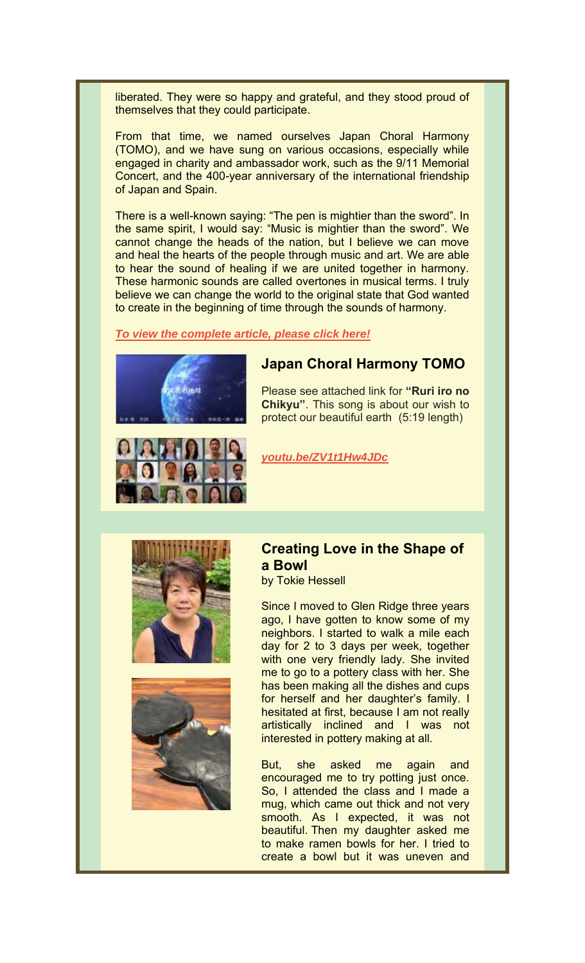liberated. They were so happy and grateful, and they stood proud of themselves that they could participate.

From that time, we named ourselves Japan Choral Harmony (TOMO), and we have sung on various occasions, especially while engaged in charity and ambassador work, such as the 9/11 Memorial Concert, and the 400-year anniversary of the international friendship of Japan and Spain.

There is a well-known saying: "The pen is mightier than the sword". In the same spirit, I would say: "Music is mightier than the sword". We cannot change the heads of the nation, but I believe we can move and heal the hearts of the people through music and art. We are able to hear the sound of healing if we are united together in harmony. These harmonic sounds are called overtones in musical terms. I truly believe we can change the world to the original state that God wanted to create in the beginning of time through the sounds of harmony.

*To view the complete article, please click here!*



## **Japan Choral Harmony TOMO**

Please see attached link for **"Ruri iro no Chikyu"**. This song is about our wish to protect our beautiful earth (5:19 length)



*youtu.be/ZV1t1Hw4JDc*





## **Creating Love in the Shape of a Bowl**

by Tokie Hessell

Since I moved to Glen Ridge three years ago, I have gotten to know some of my neighbors. I started to walk a mile each day for 2 to 3 days per week, together with one very friendly lady. She invited me to go to a pottery class with her. She has been making all the dishes and cups for herself and her daughter's family. I hesitated at first, because I am not really artistically inclined and I was not interested in pottery making at all.

But, she asked me again and encouraged me to try potting just once. So, I attended the class and I made a mug, which came out thick and not very smooth. As I expected, it was not beautiful. Then my daughter asked me to make ramen bowls for her. I tried to create a bowl but it was uneven and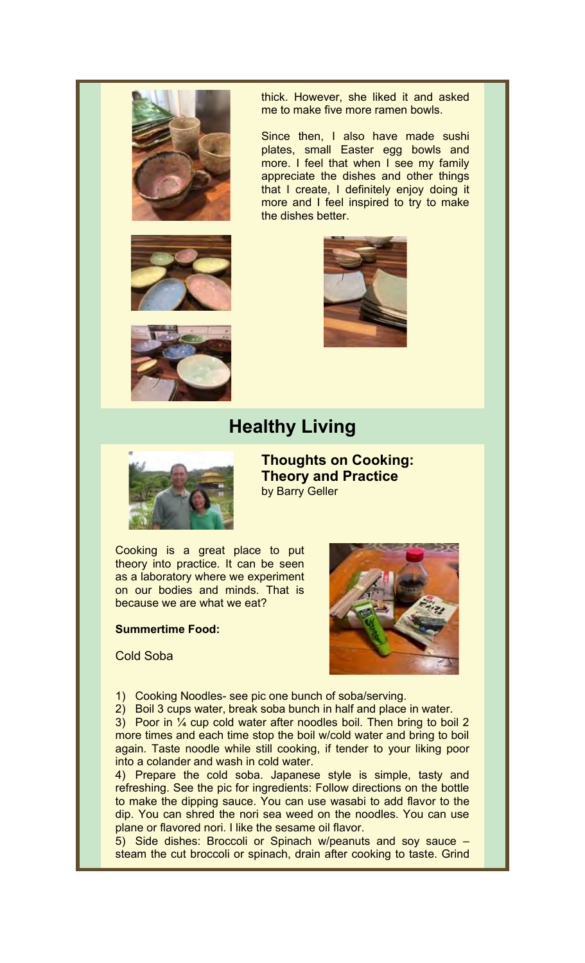



thick. However, she liked it and asked me to make five more ramen bowls.

Since then, I also have made sushi plates, small Easter egg bowls and more. I feel that when I see my family appreciate the dishes and other things that I create, I definitely enjoy doing it more and I feel inspired to try to make the dishes better.





# **Healthy Living**



**Thoughts on Cooking: Theory and Practice** by Barry Geller

Cooking is a great place to put theory into practice. It can be seen as a laboratory where we experiment on our bodies and minds. That is because we are what we eat?

#### **Summertime Food:**



Cold Soba

- 1) Cooking Noodles- see pic one bunch of soba/serving.
- 2) Boil 3 cups water, break soba bunch in half and place in water.

3) Poor in ¼ cup cold water after noodles boil. Then bring to boil 2 more times and each time stop the boil w/cold water and bring to boil again. Taste noodle while still cooking, if tender to your liking poor into a colander and wash in cold water.

4) Prepare the cold soba. Japanese style is simple, tasty and refreshing. See the pic for ingredients: Follow directions on the bottle to make the dipping sauce. You can use wasabi to add flavor to the dip. You can shred the nori sea weed on the noodles. You can use plane or flavored nori. I like the sesame oil flavor.

5) Side dishes: Broccoli or Spinach w/peanuts and soy sauce – steam the cut broccoli or spinach, drain after cooking to taste. Grind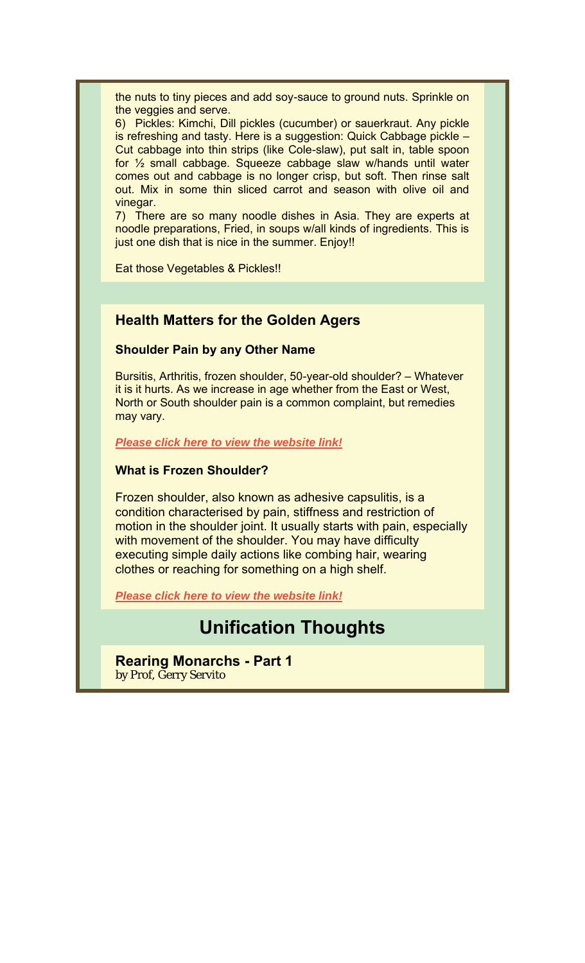the nuts to tiny pieces and add soy-sauce to ground nuts. Sprinkle on the veggies and serve.

6) Pickles: Kimchi, Dill pickles (cucumber) or sauerkraut. Any pickle is refreshing and tasty. Here is a suggestion: Quick Cabbage pickle – Cut cabbage into thin strips (like Cole-slaw), put salt in, table spoon for ½ small cabbage. Squeeze cabbage slaw w/hands until water comes out and cabbage is no longer crisp, but soft. Then rinse salt out. Mix in some thin sliced carrot and season with olive oil and vinegar.

7) There are so many noodle dishes in Asia. They are experts at noodle preparations, Fried, in soups w/all kinds of ingredients. This is just one dish that is nice in the summer. Enjoy!!

Eat those Vegetables & Pickles!!

### **Health Matters for the Golden Agers**

### **Shoulder Pain by any Other Name**

Bursitis, Arthritis, frozen shoulder, 50-year-old shoulder? – Whatever it is it hurts. As we increase in age whether from the East or West, North or South shoulder pain is a common complaint, but remedies may vary.

*Please click here to view the website link!*

#### **What is Frozen Shoulder?**

Frozen shoulder, also known as adhesive capsulitis, is a condition characterised by pain, stiffness and restriction of motion in the shoulder joint. It usually starts with pain, especially with movement of the shoulder. You may have difficulty executing simple daily actions like combing hair, wearing clothes or reaching for something on a high shelf.

*Please click here to view the website link!*

## **Unification Thoughts**

#### **Rearing Monarchs - Part 1** by Prof, Gerry Servito